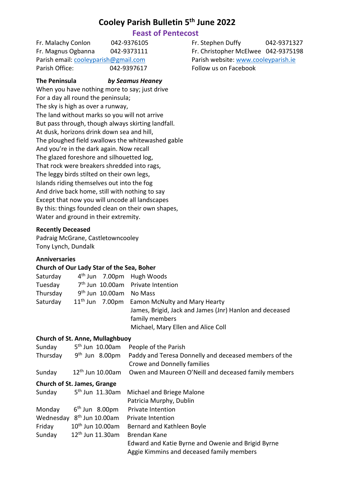# **Cooley Parish Bulletin 5 th June 2022**

# **Feast of Pentecost**

Fr. Malachy Conlon 042-9376105 Fr. Stephen Duffy 042-9371327 Fr. Magnus Ogbanna 042-9373111 Fr. Christopher McElwee 042-9375198 Parish email[: cooleyparish@gmail.com](mailto:cooleyparish@gmail.com) Parish website: [www.cooleyparish.ie](http://www.cooleyparish.ie/) Parish Office: 042-9397617 Follow us on Facebook

# **The Peninsula** *by Seamus Heaney*

When you have nothing more to say; just drive For a day all round the peninsula; The sky is high as over a runway, The land without marks so you will not arrive But pass through, though always skirting landfall. At dusk, horizons drink down sea and hill, The ploughed field swallows the whitewashed gable And you're in the dark again. Now recall The glazed foreshore and silhouetted log, That rock were breakers shredded into rags, The leggy birds stilted on their own legs, Islands riding themselves out into the fog And drive back home, still with nothing to say Except that now you will uncode all landscapes By this: things founded clean on their own shapes, Water and ground in their extremity.

# **Recently Deceased**

Padraig McGrane, Castletowncooley Tony Lynch, Dundalk

#### **Anniversaries**

#### **Church of Our Lady Star of the Sea, Boher**

| $4th$ Jun 7.00pm Hugh Woods |                                                         |
|-----------------------------|---------------------------------------------------------|
|                             | 7 <sup>th</sup> Jun 10.00am Private Intention           |
| $9th$ Jun 10.00am No Mass   |                                                         |
|                             | $11th$ Jun 7.00pm Eamon McNulty and Mary Hearty         |
|                             | James, Brigid, Jack and James (Jnr) Hanlon and deceased |
|                             | family members                                          |
|                             | Michael, Mary Ellen and Alice Coll                      |
|                             |                                                         |

#### **Church of St. Anne, Mullaghbuoy**

|          | Sunday 5 <sup>th</sup> Jun 10.00am    | People of the Parish                                                                        |
|----------|---------------------------------------|---------------------------------------------------------------------------------------------|
| Thursday | $9th$ Jun 8.00pm                      | Paddy and Teresa Donnelly and deceased members of the<br><b>Crowe and Donnelly families</b> |
| Sunday   | $12th$ Jun 10.00am                    | Owen and Maureen O'Neill and deceased family members                                        |
|          | Church of St. James, Grange           |                                                                                             |
|          | Sunday 5 <sup>th</sup> Jun 11.30am    | Michael and Briege Malone                                                                   |
|          |                                       | Patricia Murphy, Dublin                                                                     |
| Monday   | $6th$ Jun 8.00pm                      | <b>Private Intention</b>                                                                    |
|          | Wednesday 8 <sup>th</sup> Jun 10.00am | <b>Private Intention</b>                                                                    |
| Friday   | 10 <sup>th</sup> Jun 10.00am          | Bernard and Kathleen Boyle                                                                  |
| Sunday   | 12 <sup>th</sup> Jun 11.30am          | Brendan Kane                                                                                |
|          |                                       | Edward and Katie Byrne and Owenie and Brigid Byrne                                          |
|          |                                       | Aggie Kimmins and deceased family members                                                   |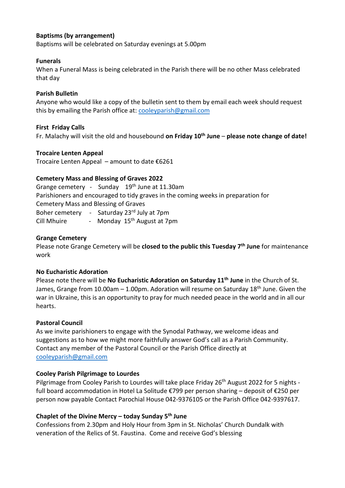# **Baptisms (by arrangement)**

Baptisms will be celebrated on Saturday evenings at 5.00pm

#### **Funerals**

When a Funeral Mass is being celebrated in the Parish there will be no other Mass celebrated that day

#### **Parish Bulletin**

Anyone who would like a copy of the bulletin sent to them by email each week should request this by emailing the Parish office at: [cooleyparish@gmail.com](mailto:cooleyparish@gmail.com)

#### **First Friday Calls**

Fr. Malachy will visit the old and housebound **on Friday 10th June** – **please note change of date!**

#### **Trocaire Lenten Appeal**

Trocaire Lenten Appeal – amount to date €6261

#### **Cemetery Mass and Blessing of Graves 2022**

Grange cemetery - Sunday 19<sup>th</sup> June at 11.30am Parishioners and encouraged to tidy graves in the coming weeks in preparation for Cemetery Mass and Blessing of Graves Boher cemetery - Saturday 23rd July at 7pm

Cill Mhuire - Monday 15<sup>th</sup> August at 7pm

#### **Grange Cemetery**

Please note Grange Cemetery will be **closed to the public this Tuesday 7th June** for maintenance work

#### **No Eucharistic Adoration**

Please note there will be **No Eucharistic Adoration on Saturday 11th June** in the Church of St. James, Grange from 10.00am  $-$  1.00pm. Adoration will resume on Saturday 18<sup>th</sup> June. Given the war in Ukraine, this is an opportunity to pray for much needed peace in the world and in all our hearts.

#### **Pastoral Council**

As we invite parishioners to engage with the Synodal Pathway, we welcome ideas and suggestions as to how we might more faithfully answer God's call as a Parish Community. Contact any member of the Pastoral Council or the Parish Office directly at [cooleyparish@gmail.com](mailto:cooleyparish@gmail.com)

#### **Cooley Parish Pilgrimage to Lourdes**

Pilgrimage from Cooley Parish to Lourdes will take place Friday 26<sup>th</sup> August 2022 for 5 nights full board accommodation in Hotel La Solitude €799 per person sharing – deposit of €250 per person now payable Contact Parochial House 042-9376105 or the Parish Office 042-9397617.

#### **Chaplet of the Divine Mercy – today Sunday 5th June**

Confessions from 2.30pm and Holy Hour from 3pm in St. Nicholas' Church Dundalk with veneration of the Relics of St. Faustina. Come and receive God's blessing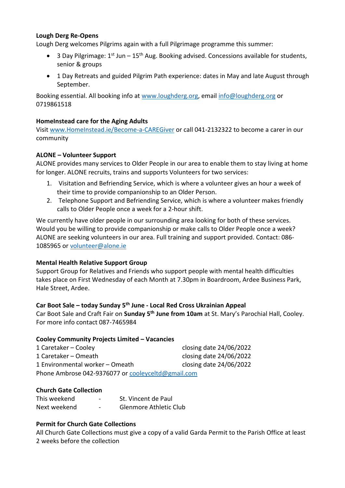### **Lough Derg Re-Opens**

Lough Derg welcomes Pilgrims again with a full Pilgrimage programme this summer:

- 3 Day Pilgrimage:  $1^{st}$  Jun  $15^{th}$  Aug. Booking advised. Concessions available for students, senior & groups
- 1 Day Retreats and guided Pilgrim Path experience: dates in May and late August through September.

Booking essential. All booking info at [www.loughderg.org,](http://www.loughderg.org/) email [info@loughderg.org](mailto:info@loughderg.org) or 0719861518

# **HomeInstead care for the Aging Adults**

Visit<www.HomeInstead.ie/Become-a-CAREGiver> or call 041-2132322 to become a carer in our community

# **ALONE – Volunteer Support**

ALONE provides many services to Older People in our area to enable them to stay living at home for longer. ALONE recruits, trains and supports Volunteers for two services:

- 1. Visitation and Befriending Service, which is where a volunteer gives an hour a week of their time to provide companionship to an Older Person.
- 2. Telephone Support and Befriending Service, which is where a volunteer makes friendly calls to Older People once a week for a 2-hour shift.

We currently have older people in our surrounding area looking for both of these services. Would you be willing to provide companionship or make calls to Older People once a week? ALONE are seeking volunteers in our area. Full training and support provided. Contact: 086- 1085965 or [volunteer@alone.ie](mailto:volunteer@alone.ie)

# **Mental Health Relative Support Group**

Support Group for Relatives and Friends who support people with mental health difficulties takes place on First Wednesday of each Month at 7.30pm in Boardroom, Ardee Business Park, Hale Street, Ardee.

# **Car Boot Sale – today Sunday 5th June - Local Red Cross Ukrainian Appeal**

Car Boot Sale and Craft Fair on **Sunday 5 th June from 10am** at St. Mary's Parochial Hall, Cooley. For more info contact 087-7465984

#### **Cooley Community Projects Limited – Vacancies**

| 1 Caretaker – Cooley                               | closing date 24/06/2022 |  |  |
|----------------------------------------------------|-------------------------|--|--|
| 1 Caretaker – Omeath                               | closing date 24/06/2022 |  |  |
| 1 Environmental worker - Omeath                    | closing date 24/06/2022 |  |  |
| Phone Ambrose 042-9376077 or cooleyceltd@gmail.com |                         |  |  |

#### **Church Gate Collection**

| This weekend | $\overline{\phantom{a}}$ | St. Vincent de Paul           |
|--------------|--------------------------|-------------------------------|
| Next weekend | $\overline{\phantom{0}}$ | <b>Glenmore Athletic Club</b> |

#### **Permit for Church Gate Collections**

All Church Gate Collections must give a copy of a valid Garda Permit to the Parish Office at least 2 weeks before the collection